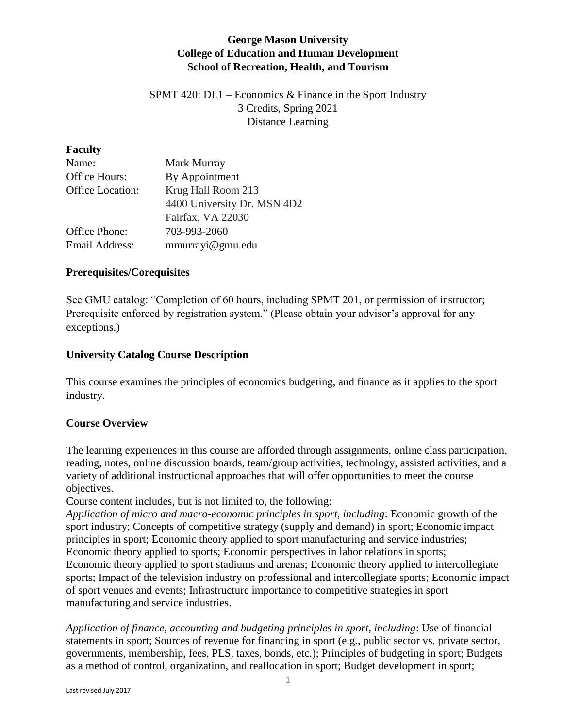## **George Mason University College of Education and Human Development School of Recreation, Health, and Tourism**

SPMT 420: DL1 – Economics  $\&$  Finance in the Sport Industry 3 Credits, Spring 2021 Distance Learning

#### **Faculty**

| Name:                 | Mark Murray                 |
|-----------------------|-----------------------------|
| Office Hours:         | By Appointment              |
| Office Location:      | Krug Hall Room 213          |
|                       | 4400 University Dr. MSN 4D2 |
|                       | Fairfax, VA 22030           |
| Office Phone:         | 703-993-2060                |
| <b>Email Address:</b> | mmurrayi@gmu.edu            |

### **Prerequisites/Corequisites**

See GMU catalog: "Completion of 60 hours, including SPMT 201, or permission of instructor; Prerequisite enforced by registration system." (Please obtain your advisor's approval for any exceptions.)

### **University Catalog Course Description**

This course examines the principles of economics budgeting, and finance as it applies to the sport industry.

### **Course Overview**

The learning experiences in this course are afforded through assignments, online class participation, reading, notes, online discussion boards, team/group activities, technology, assisted activities, and a variety of additional instructional approaches that will offer opportunities to meet the course objectives.

Course content includes, but is not limited to, the following:

*Application of micro and macro-economic principles in sport, including*: Economic growth of the sport industry; Concepts of competitive strategy (supply and demand) in sport; Economic impact principles in sport; Economic theory applied to sport manufacturing and service industries; Economic theory applied to sports; Economic perspectives in labor relations in sports; Economic theory applied to sport stadiums and arenas; Economic theory applied to intercollegiate sports; Impact of the television industry on professional and intercollegiate sports; Economic impact of sport venues and events; Infrastructure importance to competitive strategies in sport manufacturing and service industries.

*Application of finance, accounting and budgeting principles in sport, including*: Use of financial statements in sport; Sources of revenue for financing in sport (e.g., public sector vs. private sector, governments, membership, fees, PLS, taxes, bonds, etc.); Principles of budgeting in sport; Budgets as a method of control, organization, and reallocation in sport; Budget development in sport;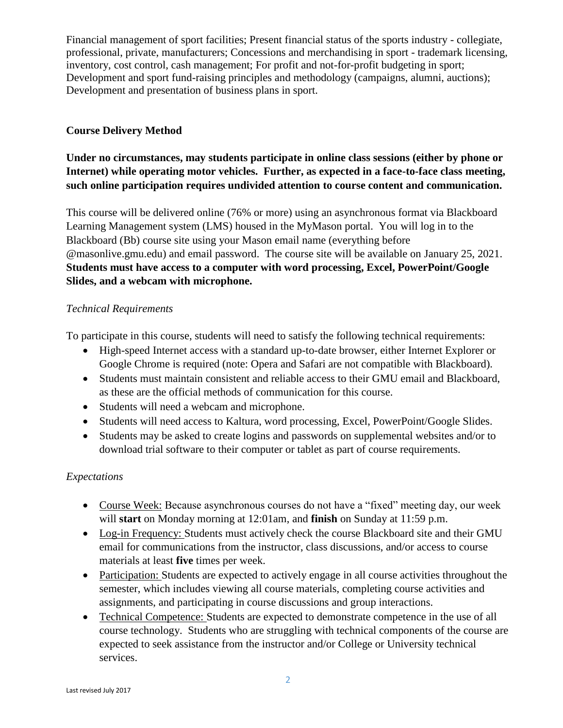Financial management of sport facilities; Present financial status of the sports industry - collegiate, professional, private, manufacturers; Concessions and merchandising in sport - trademark licensing, inventory, cost control, cash management; For profit and not-for-profit budgeting in sport; Development and sport fund-raising principles and methodology (campaigns, alumni, auctions); Development and presentation of business plans in sport.

## **Course Delivery Method**

# **Under no circumstances, may students participate in online class sessions (either by phone or Internet) while operating motor vehicles. Further, as expected in a face-to-face class meeting, such online participation requires undivided attention to course content and communication.**

This course will be delivered online (76% or more) using an asynchronous format via Blackboard Learning Management system (LMS) housed in the MyMason portal. You will log in to the Blackboard (Bb) course site using your Mason email name (everything before @masonlive.gmu.edu) and email password. The course site will be available on January 25, 2021. **Students must have access to a computer with word processing, Excel, PowerPoint/Google Slides, and a webcam with microphone.**

## *Technical Requirements*

To participate in this course, students will need to satisfy the following technical requirements:

- High-speed Internet access with a standard up-to-date browser, either Internet Explorer or Google Chrome is required (note: Opera and Safari are not compatible with Blackboard).
- Students must maintain consistent and reliable access to their GMU email and Blackboard, as these are the official methods of communication for this course.
- Students will need a webcam and microphone.
- Students will need access to Kaltura, word processing, Excel, PowerPoint/Google Slides.
- Students may be asked to create logins and passwords on supplemental websites and/or to download trial software to their computer or tablet as part of course requirements.

# *Expectations*

- Course Week: Because asynchronous courses do not have a "fixed" meeting day, our week will **start** on Monday morning at 12:01am, and **finish** on Sunday at 11:59 p.m.
- Log-in Frequency: Students must actively check the course Blackboard site and their GMU email for communications from the instructor, class discussions, and/or access to course materials at least **five** times per week.
- Participation: Students are expected to actively engage in all course activities throughout the semester, which includes viewing all course materials, completing course activities and assignments, and participating in course discussions and group interactions.
- Technical Competence: Students are expected to demonstrate competence in the use of all course technology. Students who are struggling with technical components of the course are expected to seek assistance from the instructor and/or College or University technical services.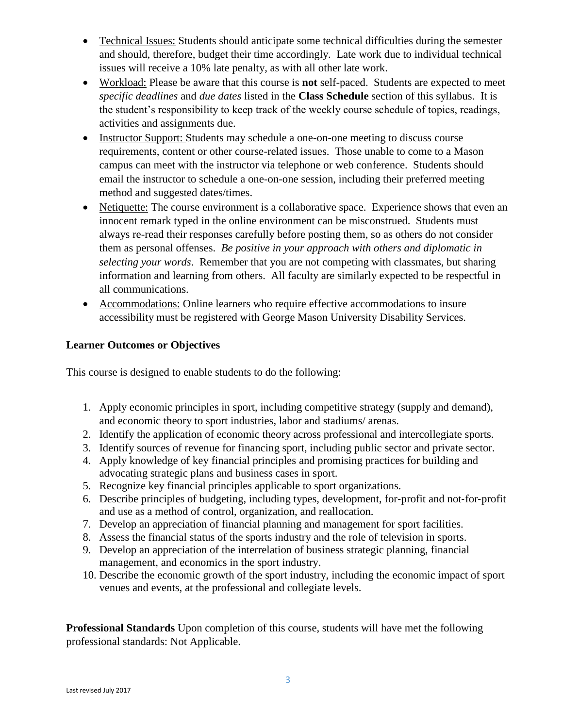- Technical Issues: Students should anticipate some technical difficulties during the semester and should, therefore, budget their time accordingly. Late work due to individual technical issues will receive a 10% late penalty, as with all other late work.
- Workload: Please be aware that this course is **not** self-paced. Students are expected to meet *specific deadlines* and *due dates* listed in the **Class Schedule** section of this syllabus. It is the student's responsibility to keep track of the weekly course schedule of topics, readings, activities and assignments due.
- Instructor Support: Students may schedule a one-on-one meeting to discuss course requirements, content or other course-related issues. Those unable to come to a Mason campus can meet with the instructor via telephone or web conference. Students should email the instructor to schedule a one-on-one session, including their preferred meeting method and suggested dates/times.
- Netiquette: The course environment is a collaborative space. Experience shows that even an innocent remark typed in the online environment can be misconstrued. Students must always re-read their responses carefully before posting them, so as others do not consider them as personal offenses. *Be positive in your approach with others and diplomatic in selecting your words*. Remember that you are not competing with classmates, but sharing information and learning from others. All faculty are similarly expected to be respectful in all communications.
- Accommodations: Online learners who require effective accommodations to insure accessibility must be registered with George Mason University Disability Services.

# **Learner Outcomes or Objectives**

This course is designed to enable students to do the following:

- 1. Apply economic principles in sport, including competitive strategy (supply and demand), and economic theory to sport industries, labor and stadiums/ arenas.
- 2. Identify the application of economic theory across professional and intercollegiate sports.
- 3. Identify sources of revenue for financing sport, including public sector and private sector.
- 4. Apply knowledge of key financial principles and promising practices for building and advocating strategic plans and business cases in sport.
- 5. Recognize key financial principles applicable to sport organizations.
- 6. Describe principles of budgeting, including types, development, for‐profit and not‐for‐profit and use as a method of control, organization, and reallocation.
- 7. Develop an appreciation of financial planning and management for sport facilities.
- 8. Assess the financial status of the sports industry and the role of television in sports.
- 9. Develop an appreciation of the interrelation of business strategic planning, financial management, and economics in the sport industry.
- 10. Describe the economic growth of the sport industry, including the economic impact of sport venues and events, at the professional and collegiate levels.

**Professional Standards** Upon completion of this course, students will have met the following professional standards: Not Applicable.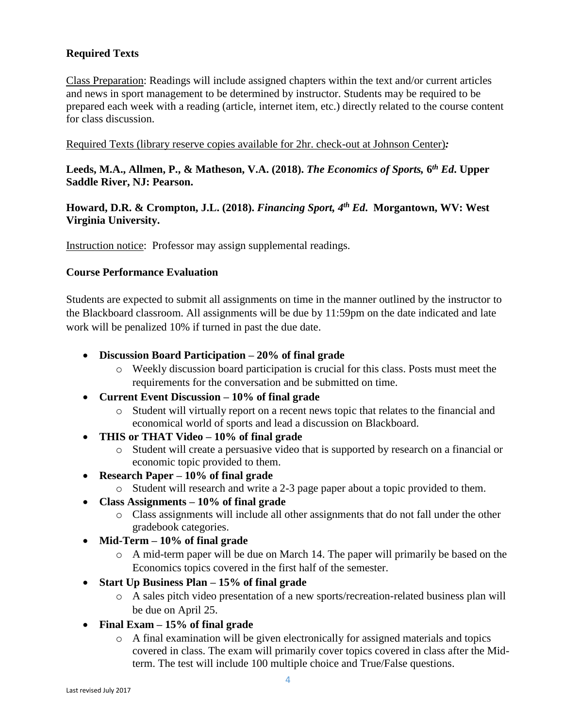# **Required Texts**

Class Preparation: Readings will include assigned chapters within the text and/or current articles and news in sport management to be determined by instructor. Students may be required to be prepared each week with a reading (article, internet item, etc.) directly related to the course content for class discussion.

#### Required Texts (library reserve copies available for 2hr. check-out at Johnson Center)*:*

**Leeds, M.A., Allmen, P., & Matheson, V.A. (2018).** *The Economics of Sports,* **6** *th Ed***. Upper Saddle River, NJ: Pearson.**

### **Howard, D.R. & Crompton, J.L. (2018).** *Financing Sport, 4 th Ed***. Morgantown, WV: West Virginia University.**

Instruction notice: Professor may assign supplemental readings.

### **Course Performance Evaluation**

Students are expected to submit all assignments on time in the manner outlined by the instructor to the Blackboard classroom. All assignments will be due by 11:59pm on the date indicated and late work will be penalized 10% if turned in past the due date.

- **Discussion Board Participation – 20% of final grade**
	- o Weekly discussion board participation is crucial for this class. Posts must meet the requirements for the conversation and be submitted on time.
- **Current Event Discussion – 10% of final grade**
	- o Student will virtually report on a recent news topic that relates to the financial and economical world of sports and lead a discussion on Blackboard.
- **THIS or THAT Video – 10% of final grade**
	- o Student will create a persuasive video that is supported by research on a financial or economic topic provided to them.
- **Research Paper – 10% of final grade**
	- o Student will research and write a 2-3 page paper about a topic provided to them.
- **Class Assignments – 10% of final grade**
	- o Class assignments will include all other assignments that do not fall under the other gradebook categories.
- **Mid-Term – 10% of final grade**
	- o A mid-term paper will be due on March 14. The paper will primarily be based on the Economics topics covered in the first half of the semester.
- **Start Up Business Plan – 15% of final grade**
	- o A sales pitch video presentation of a new sports/recreation-related business plan will be due on April 25.
- **Final Exam – 15% of final grade**
	- $\circ$  A final examination will be given electronically for assigned materials and topics covered in class. The exam will primarily cover topics covered in class after the Midterm. The test will include 100 multiple choice and True/False questions.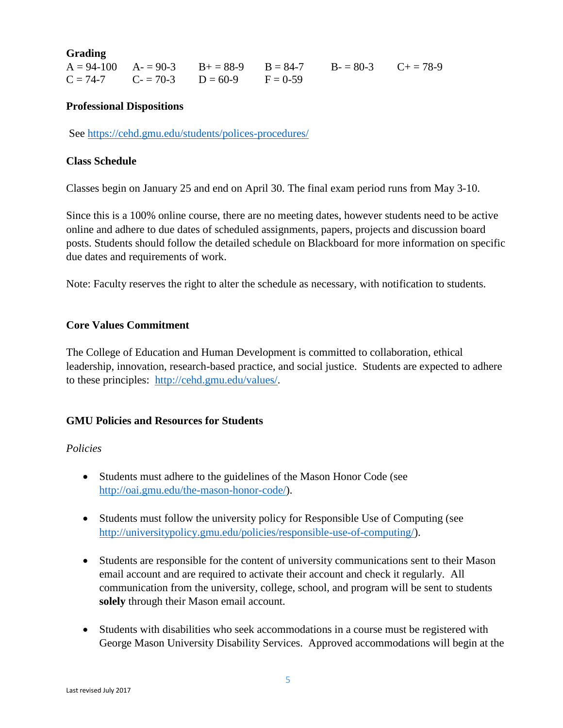**Grading**

|  |                                             | $A = 94-100$ $A = 90-3$ $B = 88-9$ $B = 84-7$ $B = 80-3$ $C = 78-9$ |  |
|--|---------------------------------------------|---------------------------------------------------------------------|--|
|  | $C = 74-7$ $C = 70-3$ $D = 60-9$ $F = 0-59$ |                                                                     |  |

### **Professional Dispositions**

See<https://cehd.gmu.edu/students/polices-procedures/>

### **Class Schedule**

Classes begin on January 25 and end on April 30. The final exam period runs from May 3-10.

Since this is a 100% online course, there are no meeting dates, however students need to be active online and adhere to due dates of scheduled assignments, papers, projects and discussion board posts. Students should follow the detailed schedule on Blackboard for more information on specific due dates and requirements of work.

Note: Faculty reserves the right to alter the schedule as necessary, with notification to students.

### **Core Values Commitment**

The College of Education and Human Development is committed to collaboration, ethical leadership, innovation, research-based practice, and social justice. Students are expected to adhere to these principles: [http://cehd.gmu.edu/values/.](http://cehd.gmu.edu/values/)

### **GMU Policies and Resources for Students**

### *Policies*

- Students must adhere to the guidelines of the Mason Honor Code (see [http://oai.gmu.edu/the-mason-honor-code/\)](http://oai.gmu.edu/the-mason-honor-code/).
- Students must follow the university policy for Responsible Use of Computing (see [http://universitypolicy.gmu.edu/policies/responsible-use-of-computing/\)](http://universitypolicy.gmu.edu/policies/responsible-use-of-computing/).
- Students are responsible for the content of university communications sent to their Mason email account and are required to activate their account and check it regularly. All communication from the university, college, school, and program will be sent to students **solely** through their Mason email account.
- Students with disabilities who seek accommodations in a course must be registered with George Mason University Disability Services. Approved accommodations will begin at the